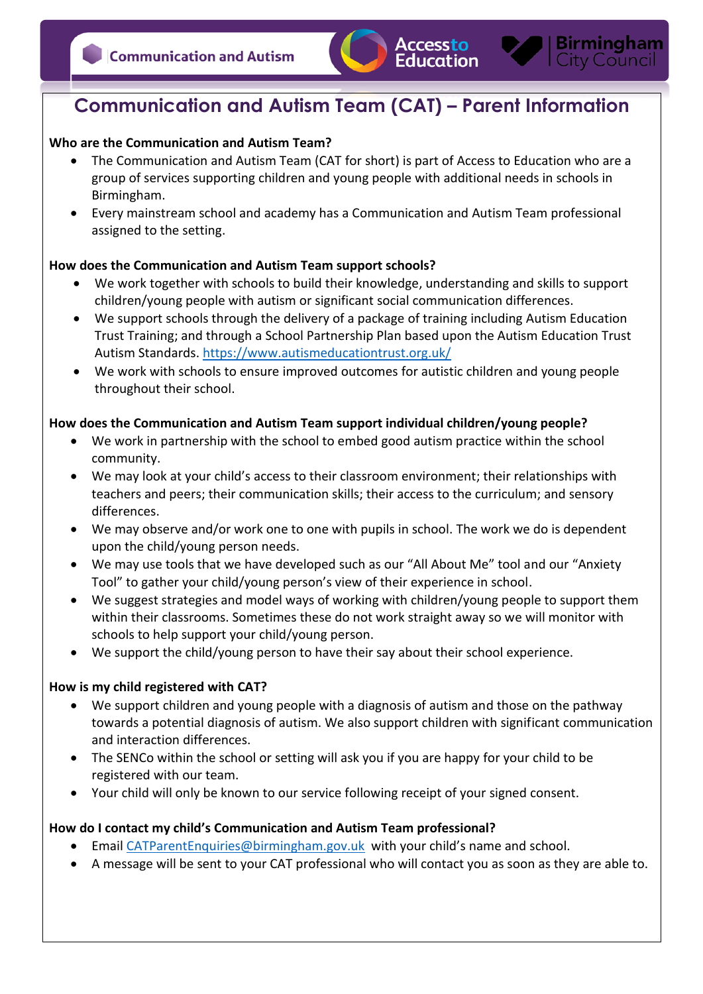

# **Communication and Autism Team (CAT) – Parent Information**

## **Who are the Communication and Autism Team?**

- The Communication and Autism Team (CAT for short) is part of Access to Education who are a group of services supporting children and young people with additional needs in schools in Birmingham.
- Every mainstream school and academy has a Communication and Autism Team professional assigned to the setting.

## **How does the Communication and Autism Team support schools?**

- We work together with schools to build their knowledge, understanding and skills to support children/young people with autism or significant social communication differences.
- We support schools through the delivery of a package of training including Autism Education Trust Training; and through a School Partnership Plan based upon the Autism Education Trust Autism Standards. https://www.autismeducationtrust.org.uk/
- We work with schools to ensure improved outcomes for autistic children and young people throughout their school.

## **How does the Communication and Autism Team support individual children/young people?**

- We work in partnership with the school to embed good autism practice within the school community.
- We may look at your child's access to their classroom environment; their relationships with teachers and peers; their communication skills; their access to the curriculum; and sensory differences.
- We may observe and/or work one to one with pupils in school. The work we do is dependent upon the child/young person needs.
- We may use tools that we have developed such as our "All About Me" tool and our "Anxiety Tool" to gather your child/young person's view of their experience in school.
- We suggest strategies and model ways of working with children/young people to support them within their classrooms. Sometimes these do not work straight away so we will monitor with schools to help support your child/young person.
- We support the child/young person to have their say about their school experience.

#### **How is my child registered with CAT?**

- We support children and young people with a diagnosis of autism and those on the pathway towards a potential diagnosis of autism. We also support children with significant communication and interaction differences.
- The SENCo within the school or setting will ask you if you are happy for your child to be registered with our team.
- Your child will only be known to our service following receipt of your signed consent.

#### **How do I contact my child's Communication and Autism Team professional?**

- Email CATParentEnquiries@birmingham.gov.uk with your child's name and school.
- A message will be sent to your CAT professional who will contact you as soon as they are able to.